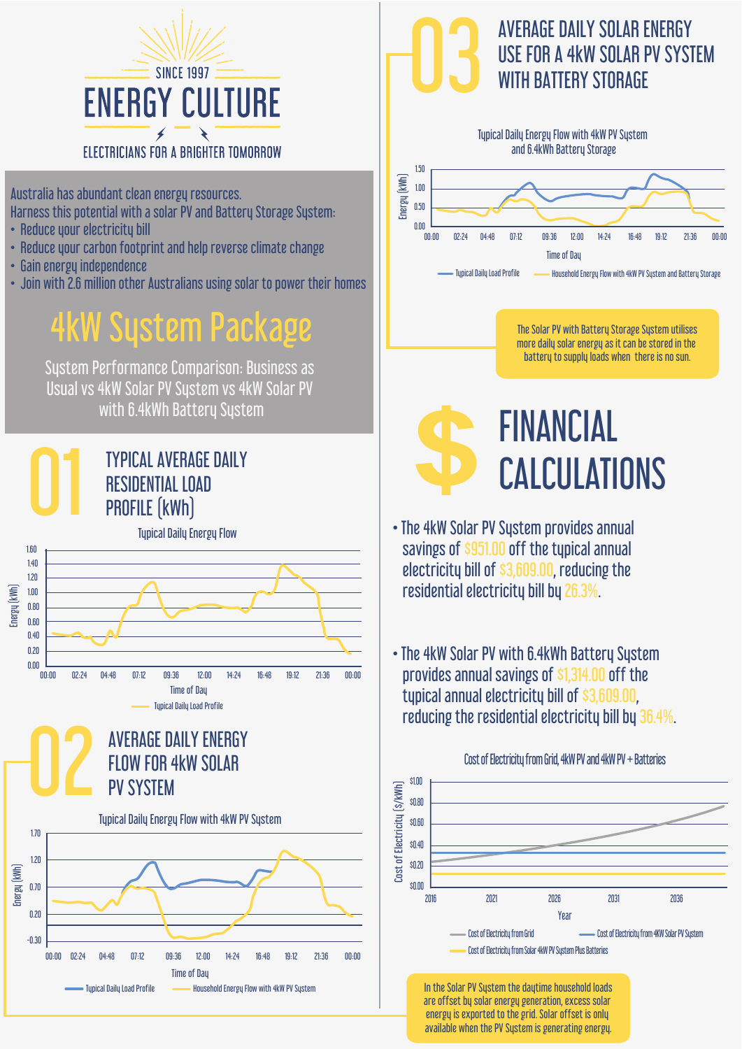

Australia has abundant clean energy resources. Harness this potential with a solar PV and Battery Storage Sustem:

- Reduce your electricity bill
- Reduce your carbon footprint and help reverse climate change
- Gain energy independence
- Join with 2.6 million other Australians using solar to power their homes

### 4kW System Package

System Performance Comparison: Business as Usual vs 4kW Solar PV System vs 4kW Solar PV with 6.4kWh Battery System



**Time of Day** 

Typical Daily Load Profile **Household Energy Flow with 4kW PV System** 

00:00 02:24 04:48 07:12 09:36 12:00 14:24 16:48 19:12 21:36 00:00

#### AVERAGE DAILY SOLAR ENERGY<br>USE FOR A 4kW SOLAR PV SYST<br>WITH BATTERY STORAGE USE FOR A 4kW SOLAR PV SYSTEM WITH BATTERY STORAGE



**FINANCIAL** CALCULATIONS

- The 4kW Solar PV System provides annual savings of \$951.00 off the typical annual electricity bill of \$3,609.00, reducing the residential electricity bill by 26.3%.
- The 4kW Solar PV with 6.4kWh Battery System provides annual savings of \$1,314.00 off the typical annual electricity bill of \$3,609.00, reducing the residential electricity bill by 36.4%.



In the Solar PV System the daytime household loads are offset by solar energy generation, excess solar energy is exported to the grid. Solar offset is only available when the PV System is generating energy.